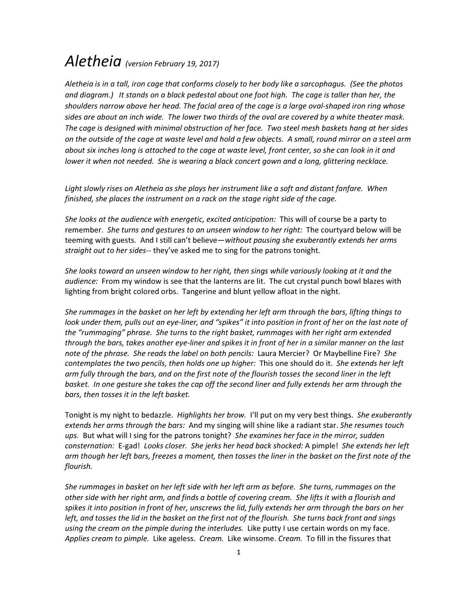## Aletheia (version February 19, 2017)

Aletheia is in a tall, iron cage that conforms closely to her body like a sarcophagus. (See the photos and diagram.) It stands on a black pedestal about one foot high. The cage is taller than her, the shoulders narrow above her head. The facial area of the cage is a large oval-shaped iron ring whose sides are about an inch wide. The lower two thirds of the oval are covered by a white theater mask. The cage is designed with minimal obstruction of her face. Two steel mesh baskets hang at her sides on the outside of the cage at waste level and hold a few objects. A small, round mirror on a steel arm about six inches long is attached to the cage at waste level, front center, so she can look in it and lower it when not needed. She is wearing a black concert gown and a long, glittering necklace.

Light slowly rises on Aletheia as she plays her instrument like a soft and distant fanfare. When finished, she places the instrument on a rack on the stage right side of the cage.

She looks at the audience with energetic, excited anticipation: This will of course be a party to remember. She turns and gestures to an unseen window to her right: The courtyard below will be teeming with guests. And I still can't believe—without pausing she exuberantly extends her arms straight out to her sides-- they've asked me to sing for the patrons tonight.

She looks toward an unseen window to her right, then sings while variously looking at it and the audience: From my window is see that the lanterns are lit. The cut crystal punch bowl blazes with lighting from bright colored orbs. Tangerine and blunt yellow afloat in the night.

She rummages in the basket on her left by extending her left arm through the bars, lifting things to look under them, pulls out an eye-liner, and "spikes" it into position in front of her on the last note of the "rummaging" phrase. She turns to the right basket, rummages with her right arm extended through the bars, takes another eye-liner and spikes it in front of her in a similar manner on the last note of the phrase. She reads the label on both pencils: Laura Mercier? Or Maybelline Fire? She contemplates the two pencils, then holds one up higher: This one should do it. She extends her left arm fully through the bars, and on the first note of the flourish tosses the second liner in the left basket. In one gesture she takes the cap off the second liner and fully extends her arm through the bars, then tosses it in the left basket.

Tonight is my night to bedazzle. Highlights her brow. I'll put on my very best things. She exuberantly extends her arms through the bars: And my singing will shine like a radiant star. She resumes touch ups. But what will I sing for the patrons tonight? She examines her face in the mirror, sudden consternation: E-gad! Looks closer. She jerks her head back shocked: A pimple! She extends her left arm though her left bars, freezes a moment, then tosses the liner in the basket on the first note of the flourish.

She rummages in basket on her left side with her left arm as before. She turns, rummages on the other side with her right arm, and finds a bottle of covering cream. She lifts it with a flourish and spikes it into position in front of her, unscrews the lid, fully extends her arm through the bars on her left, and tosses the lid in the basket on the first not of the flourish. She turns back front and sings using the cream on the pimple during the interludes. Like putty I use certain words on my face. Applies cream to pimple. Like ageless. Cream. Like winsome. Cream. To fill in the fissures that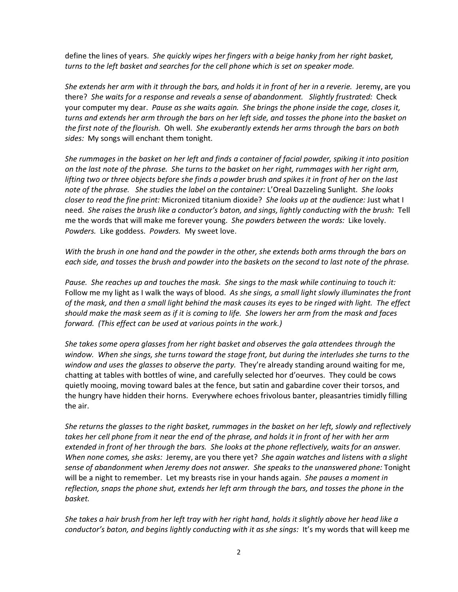define the lines of years. She quickly wipes her fingers with a beige hanky from her right basket, turns to the left basket and searches for the cell phone which is set on speaker mode.

She extends her arm with it through the bars, and holds it in front of her in a reverie. Jeremy, are you there? She waits for a response and reveals a sense of abandonment. Slightly frustrated: Check your computer my dear. Pause as she waits again. She brings the phone inside the cage, closes it, turns and extends her arm through the bars on her left side, and tosses the phone into the basket on the first note of the flourish. Oh well. She exuberantly extends her arms through the bars on both sides: My songs will enchant them tonight.

She rummages in the basket on her left and finds a container of facial powder, spiking it into position on the last note of the phrase. She turns to the basket on her right, rummages with her right arm, lifting two or three objects before she finds a powder brush and spikes it in front of her on the last note of the phrase. She studies the label on the container: L'Oreal Dazzeling Sunlight. She looks closer to read the fine print: Micronized titanium dioxide? She looks up at the audience: Just what I need. She raises the brush like a conductor's baton, and sings, lightly conducting with the brush: Tell me the words that will make me forever young. She powders between the words: Like lovely. Powders. Like goddess. Powders. My sweet love.

With the brush in one hand and the powder in the other, she extends both arms through the bars on each side, and tosses the brush and powder into the baskets on the second to last note of the phrase.

Pause. She reaches up and touches the mask. She sings to the mask while continuing to touch it: Follow me my light as I walk the ways of blood. As she sings, a small light slowly illuminates the front of the mask, and then a small light behind the mask causes its eyes to be ringed with light. The effect should make the mask seem as if it is coming to life. She lowers her arm from the mask and faces forward. (This effect can be used at various points in the work.)

She takes some opera glasses from her right basket and observes the gala attendees through the window. When she sings, she turns toward the stage front, but during the interludes she turns to the window and uses the glasses to observe the party. They're already standing around waiting for me, chatting at tables with bottles of wine, and carefully selected hor d'oeurves. They could be cows quietly mooing, moving toward bales at the fence, but satin and gabardine cover their torsos, and the hungry have hidden their horns. Everywhere echoes frivolous banter, pleasantries timidly filling the air.

She returns the glasses to the right basket, rummages in the basket on her left, slowly and reflectively takes her cell phone from it near the end of the phrase, and holds it in front of her with her arm extended in front of her through the bars. She looks at the phone reflectively, waits for an answer. When none comes, she asks: Jeremy, are you there yet? She again watches and listens with a slight sense of abandonment when Jeremy does not answer. She speaks to the unanswered phone: Tonight will be a night to remember. Let my breasts rise in your hands again. She pauses a moment in reflection, snaps the phone shut, extends her left arm through the bars, and tosses the phone in the basket.

She takes a hair brush from her left tray with her right hand, holds it slightly above her head like a conductor's baton, and begins lightly conducting with it as she sings: It's my words that will keep me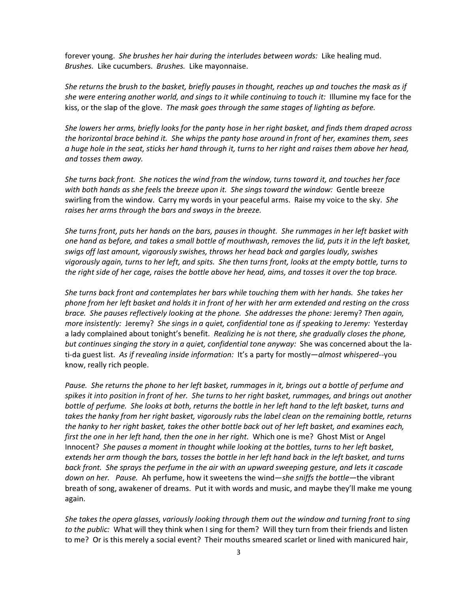forever young. She brushes her hair during the interludes between words: Like healing mud. Brushes. Like cucumbers. Brushes. Like mayonnaise.

She returns the brush to the basket, briefly pauses in thought, reaches up and touches the mask as if she were entering another world, and sings to it while continuing to touch it: Illumine my face for the kiss, or the slap of the glove. The mask goes through the same stages of lighting as before.

She lowers her arms, briefly looks for the panty hose in her right basket, and finds them draped across the horizontal brace behind it. She whips the panty hose around in front of her, examines them, sees a huge hole in the seat, sticks her hand through it, turns to her right and raises them above her head, and tosses them away.

She turns back front. She notices the wind from the window, turns toward it, and touches her face with both hands as she feels the breeze upon it. She sings toward the window: Gentle breeze swirling from the window. Carry my words in your peaceful arms. Raise my voice to the sky. She raises her arms through the bars and sways in the breeze.

She turns front, puts her hands on the bars, pauses in thought. She rummages in her left basket with one hand as before, and takes a small bottle of mouthwash, removes the lid, puts it in the left basket, swigs off last amount, vigorously swishes, throws her head back and gargles loudly, swishes vigorously again, turns to her left, and spits. She then turns front, looks at the empty bottle, turns to the right side of her cage, raises the bottle above her head, aims, and tosses it over the top brace.

She turns back front and contemplates her bars while touching them with her hands. She takes her phone from her left basket and holds it in front of her with her arm extended and resting on the cross brace. She pauses reflectively looking at the phone. She addresses the phone: Jeremy? Then again, more insistently: Jeremy? She sings in a quiet, confidential tone as if speaking to Jeremy: Yesterday a lady complained about tonight's benefit. Realizing he is not there, she gradually closes the phone, but continues singing the story in a quiet, confidential tone anyway: She was concerned about the lati-da guest list. As if revealing inside information: It's a party for mostly—almost whispered--you know, really rich people.

Pause. She returns the phone to her left basket, rummages in it, brings out a bottle of perfume and spikes it into position in front of her. She turns to her right basket, rummages, and brings out another bottle of perfume. She looks at both, returns the bottle in her left hand to the left basket, turns and takes the hanky from her right basket, vigorously rubs the label clean on the remaining bottle, returns the hanky to her right basket, takes the other bottle back out of her left basket, and examines each, first the one in her left hand, then the one in her right. Which one is me? Ghost Mist or Angel Innocent? She pauses a moment in thought while looking at the bottles, turns to her left basket, extends her arm though the bars, tosses the bottle in her left hand back in the left basket, and turns back front. She sprays the perfume in the air with an upward sweeping gesture, and lets it cascade down on her. Pause. Ah perfume, how it sweetens the wind—she sniffs the bottle—the vibrant breath of song, awakener of dreams. Put it with words and music, and maybe they'll make me young again.

She takes the opera glasses, variously looking through them out the window and turning front to sing to the public: What will they think when I sing for them? Will they turn from their friends and listen to me? Or is this merely a social event? Their mouths smeared scarlet or lined with manicured hair,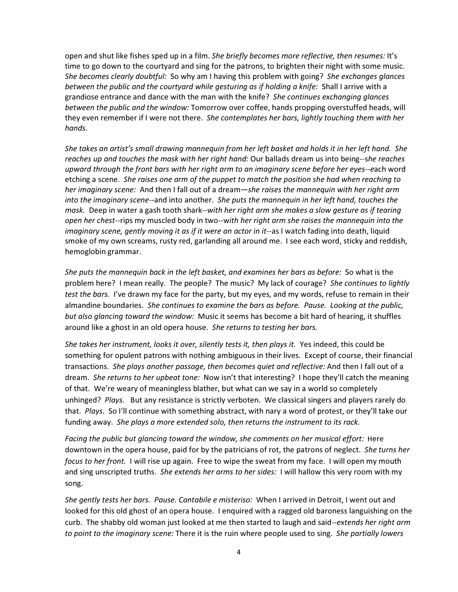open and shut like fishes sped up in a film. She briefly becomes more reflective, then resumes: It's time to go down to the courtyard and sing for the patrons, to brighten their night with some music. She becomes clearly doubtful: So why am I having this problem with going? She exchanges glances between the public and the courtyard while gesturing as if holding a knife: Shall I arrive with a grandiose entrance and dance with the man with the knife? She continues exchanging glances between the public and the window: Tomorrow over coffee, hands propping overstuffed heads, will they even remember if I were not there. She contemplates her bars, lightly touching them with her hands.

She takes an artist's small drawing mannequin from her left basket and holds it in her left hand. She reaches up and touches the mask with her right hand: Our ballads dream us into being--she reaches upward through the front bars with her right arm to an imaginary scene before her eyes--each word etching a scene. She raises one arm of the puppet to match the position she had when reaching to her imaginary scene: And then I fall out of a dream—she raises the mannequin with her right arm into the imaginary scene--and into another. She puts the mannequin in her left hand, touches the mask. Deep in water a gash tooth shark--with her right arm she makes a slow gesture as if tearing open her chest--rips my muscled body in two--with her right arm she raises the mannequin into the imaginary scene, gently moving it as if it were an actor in it--as I watch fading into death, liquid smoke of my own screams, rusty red, garlanding all around me. I see each word, sticky and reddish, hemoglobin grammar.

She puts the mannequin back in the left basket, and examines her bars as before: So what is the problem here? I mean really. The people? The music? My lack of courage? She continues to lightly test the bars. I've drawn my face for the party, but my eyes, and my words, refuse to remain in their almandine boundaries. She continues to examine the bars as before. Pause. Looking at the public, but also glancing toward the window: Music it seems has become a bit hard of hearing, it shuffles around like a ghost in an old opera house. She returns to testing her bars.

She takes her instrument, looks it over, silently tests it, then plays it. Yes indeed, this could be something for opulent patrons with nothing ambiguous in their lives. Except of course, their financial transactions. She plays another passage, then becomes quiet and reflective: And then I fall out of a dream. She returns to her upbeat tone: Now isn't that interesting? I hope they'll catch the meaning of that. We're weary of meaningless blather, but what can we say in a world so completely unhinged? Plays. But any resistance is strictly verboten. We classical singers and players rarely do that. Plays. So I'll continue with something abstract, with nary a word of protest, or they'll take our funding away. She plays a more extended solo, then returns the instrument to its rack.

Facing the public but glancing toward the window, she comments on her musical effort: Here downtown in the opera house, paid for by the patricians of rot, the patrons of neglect. She turns her focus to her front. I will rise up again. Free to wipe the sweat from my face. I will open my mouth and sing unscripted truths. She extends her arms to her sides: I will hallow this very room with my song.

She gently tests her bars. Pause. Cantabile e misteriso: When I arrived in Detroit, I went out and looked for this old ghost of an opera house. I enquired with a ragged old baroness languishing on the curb. The shabby old woman just looked at me then started to laugh and said--extends her right arm to point to the imaginary scene: There it is the ruin where people used to sing. She partially lowers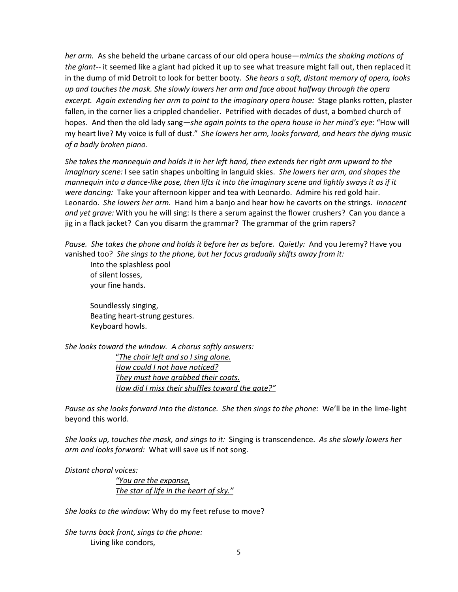her arm. As she beheld the urbane carcass of our old opera house—mimics the shaking motions of the giant-- it seemed like a giant had picked it up to see what treasure might fall out, then replaced it in the dump of mid Detroit to look for better booty. She hears a soft, distant memory of opera, looks up and touches the mask. She slowly lowers her arm and face about halfway through the opera excerpt. Again extending her arm to point to the imaginary opera house: Stage planks rotten, plaster fallen, in the corner lies a crippled chandelier. Petrified with decades of dust, a bombed church of hopes. And then the old lady sang—she again points to the opera house in her mind's eye: "How will my heart live? My voice is full of dust." She lowers her arm, looks forward, and hears the dying music of a badly broken piano.

She takes the mannequin and holds it in her left hand, then extends her right arm upward to the imaginary scene: I see satin shapes unbolting in languid skies. She lowers her arm, and shapes the mannequin into a dance-like pose, then lifts it into the imaginary scene and lightly sways it as if it were dancing: Take your afternoon kipper and tea with Leonardo. Admire his red gold hair. Leonardo. She lowers her arm. Hand him a banjo and hear how he cavorts on the strings. Innocent and yet grave: With you he will sing: Is there a serum against the flower crushers? Can you dance a jig in a flack jacket? Can you disarm the grammar? The grammar of the grim rapers?

Pause. She takes the phone and holds it before her as before. Quietly: And you Jeremy? Have you vanished too? She sings to the phone, but her focus gradually shifts away from it:

Into the splashless pool of silent losses, your fine hands.

Soundlessly singing, Beating heart-strung gestures. Keyboard howls.

She looks toward the window. A chorus softly answers: "The choir left and so I sing alone. How could I not have noticed? They must have grabbed their coats. How did I miss their shuffles toward the gate?"

Pause as she looks forward into the distance. She then sings to the phone: We'll be in the lime-light beyond this world.

She looks up, touches the mask, and sings to it: Singing is transcendence. As she slowly lowers her arm and looks forward: What will save us if not song.

Distant choral voices:

"You are the expanse, The star of life in the heart of sky."

She looks to the window: Why do my feet refuse to move?

She turns back front, sings to the phone: Living like condors,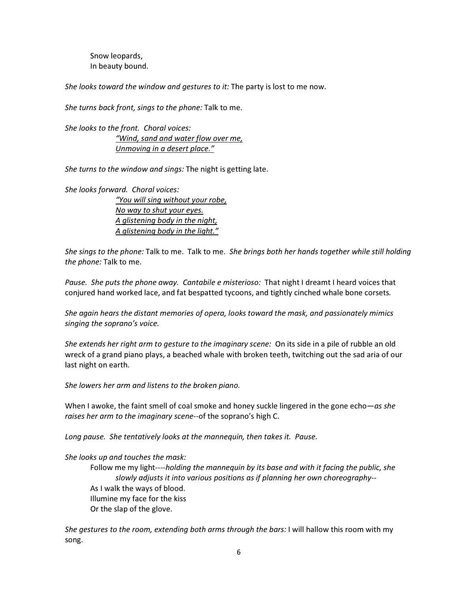Snow leopards, In beauty bound.

She looks toward the window and gestures to it: The party is lost to me now.

She turns back front, sings to the phone: Talk to me.

She looks to the front. Choral voices: "Wind, sand and water flow over me, Unmoving in a desert place."

She turns to the window and sings: The night is getting late.

She looks forward. Choral voices:

"You will sing without your robe, No way to shut your eyes. A glistening body in the night, A glistening body in the light."

She sings to the phone: Talk to me. Talk to me. She brings both her hands together while still holding the phone: Talk to me.

Pause. She puts the phone away. Cantabile e misterioso: That night I dreamt I heard voices that conjured hand worked lace, and fat bespatted tycoons, and tightly cinched whale bone corsets.

She again hears the distant memories of opera, looks toward the mask, and passionately mimics singing the soprano's voice.

She extends her right arm to gesture to the imaginary scene: On its side in a pile of rubble an old wreck of a grand piano plays, a beached whale with broken teeth, twitching out the sad aria of our last night on earth.

She lowers her arm and listens to the broken piano.

When I awoke, the faint smell of coal smoke and honey suckle lingered in the gone echo—as she raises her arm to the imaginary scene--of the soprano's high C.

Long pause. She tentatively looks at the mannequin, then takes it. Pause.

She looks up and touches the mask:

Follow me my light----holding the mannequin by its base and with it facing the public, she slowly adjusts it into various positions as if planning her own choreography-- As I walk the ways of blood. Illumine my face for the kiss Or the slap of the glove.

She gestures to the room, extending both arms through the bars: I will hallow this room with my song.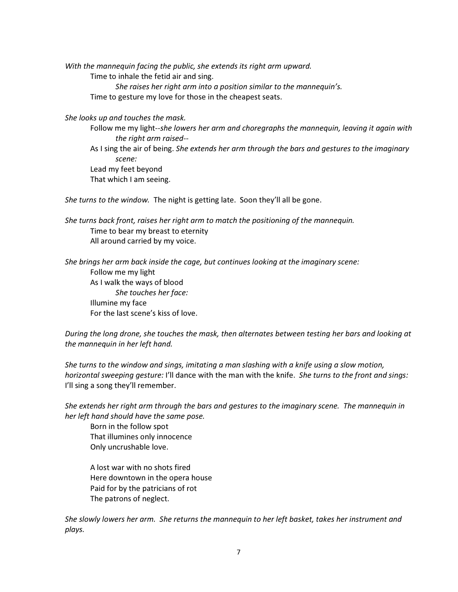With the mannequin facing the public, she extends its right arm upward. Time to inhale the fetid air and sing.

She raises her right arm into a position similar to the mannequin's. Time to gesture my love for those in the cheapest seats.

She looks up and touches the mask.

Follow me my light--she lowers her arm and choregraphs the mannequin, leaving it again with the right arm raised--

As I sing the air of being. She extends her arm through the bars and gestures to the imaginary scene: Lead my feet beyond

That which I am seeing.

She turns to the window. The night is getting late. Soon they'll all be gone.

She turns back front, raises her right arm to match the positioning of the mannequin. Time to bear my breast to eternity All around carried by my voice.

She brings her arm back inside the cage, but continues looking at the imaginary scene: Follow me my light As I walk the ways of blood She touches her face: Illumine my face For the last scene's kiss of love.

During the long drone, she touches the mask, then alternates between testing her bars and looking at the mannequin in her left hand.

She turns to the window and sings, imitating a man slashing with a knife using a slow motion, horizontal sweeping gesture: I'll dance with the man with the knife. She turns to the front and sings: I'll sing a song they'll remember.

She extends her right arm through the bars and gestures to the imaginary scene. The mannequin in her left hand should have the same pose.

Born in the follow spot That illumines only innocence Only uncrushable love.

A lost war with no shots fired Here downtown in the opera house Paid for by the patricians of rot The patrons of neglect.

She slowly lowers her arm. She returns the mannequin to her left basket, takes her instrument and plays.